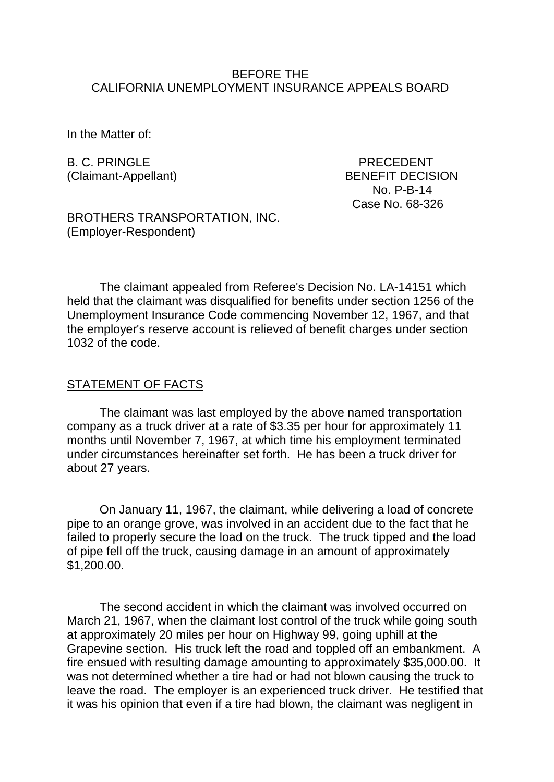### BEFORE THE CALIFORNIA UNEMPLOYMENT INSURANCE APPEALS BOARD

In the Matter of:

B. C. PRINGLE PRECEDENT

(Claimant-Appellant) BENEFIT DECISION No. P-B-14 Case No. 68-326

BROTHERS TRANSPORTATION, INC. (Employer-Respondent)

The claimant appealed from Referee's Decision No. LA-14151 which held that the claimant was disqualified for benefits under section 1256 of the Unemployment Insurance Code commencing November 12, 1967, and that the employer's reserve account is relieved of benefit charges under section 1032 of the code.

### STATEMENT OF FACTS

The claimant was last employed by the above named transportation company as a truck driver at a rate of \$3.35 per hour for approximately 11 months until November 7, 1967, at which time his employment terminated under circumstances hereinafter set forth. He has been a truck driver for about 27 years.

On January 11, 1967, the claimant, while delivering a load of concrete pipe to an orange grove, was involved in an accident due to the fact that he failed to properly secure the load on the truck. The truck tipped and the load of pipe fell off the truck, causing damage in an amount of approximately \$1,200.00.

The second accident in which the claimant was involved occurred on March 21, 1967, when the claimant lost control of the truck while going south at approximately 20 miles per hour on Highway 99, going uphill at the Grapevine section. His truck left the road and toppled off an embankment. A fire ensued with resulting damage amounting to approximately \$35,000.00. It was not determined whether a tire had or had not blown causing the truck to leave the road. The employer is an experienced truck driver. He testified that it was his opinion that even if a tire had blown, the claimant was negligent in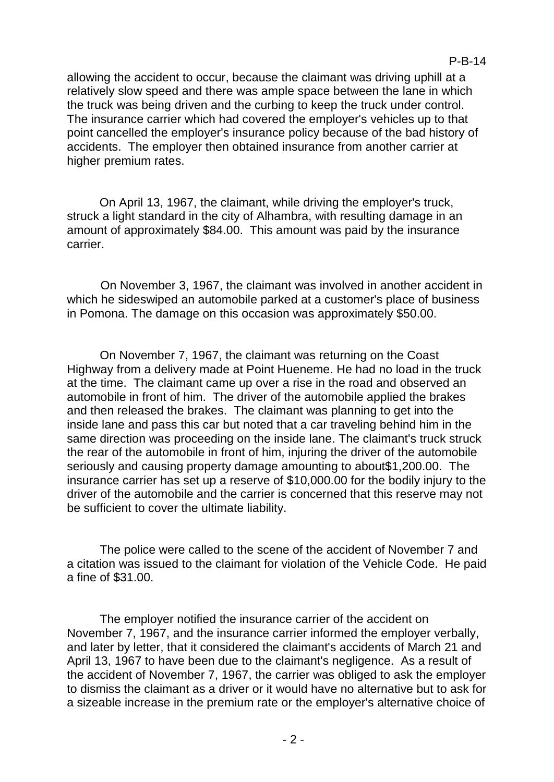allowing the accident to occur, because the claimant was driving uphill at a relatively slow speed and there was ample space between the lane in which the truck was being driven and the curbing to keep the truck under control. The insurance carrier which had covered the employer's vehicles up to that point cancelled the employer's insurance policy because of the bad history of accidents. The employer then obtained insurance from another carrier at higher premium rates.

On April 13, 1967, the claimant, while driving the employer's truck, struck a light standard in the city of Alhambra, with resulting damage in an amount of approximately \$84.00. This amount was paid by the insurance carrier.

On November 3, 1967, the claimant was involved in another accident in which he sideswiped an automobile parked at a customer's place of business in Pomona. The damage on this occasion was approximately \$50.00.

On November 7, 1967, the claimant was returning on the Coast Highway from a delivery made at Point Hueneme. He had no load in the truck at the time. The claimant came up over a rise in the road and observed an automobile in front of him. The driver of the automobile applied the brakes and then released the brakes. The claimant was planning to get into the inside lane and pass this car but noted that a car traveling behind him in the same direction was proceeding on the inside lane. The claimant's truck struck the rear of the automobile in front of him, injuring the driver of the automobile seriously and causing property damage amounting to about\$1,200.00. The insurance carrier has set up a reserve of \$10,000.00 for the bodily injury to the driver of the automobile and the carrier is concerned that this reserve may not be sufficient to cover the ultimate liability.

The police were called to the scene of the accident of November 7 and a citation was issued to the claimant for violation of the Vehicle Code. He paid a fine of \$31.00.

The employer notified the insurance carrier of the accident on November 7, 1967, and the insurance carrier informed the employer verbally, and later by letter, that it considered the claimant's accidents of March 21 and April 13, 1967 to have been due to the claimant's negligence. As a result of the accident of November 7, 1967, the carrier was obliged to ask the employer to dismiss the claimant as a driver or it would have no alternative but to ask for a sizeable increase in the premium rate or the employer's alternative choice of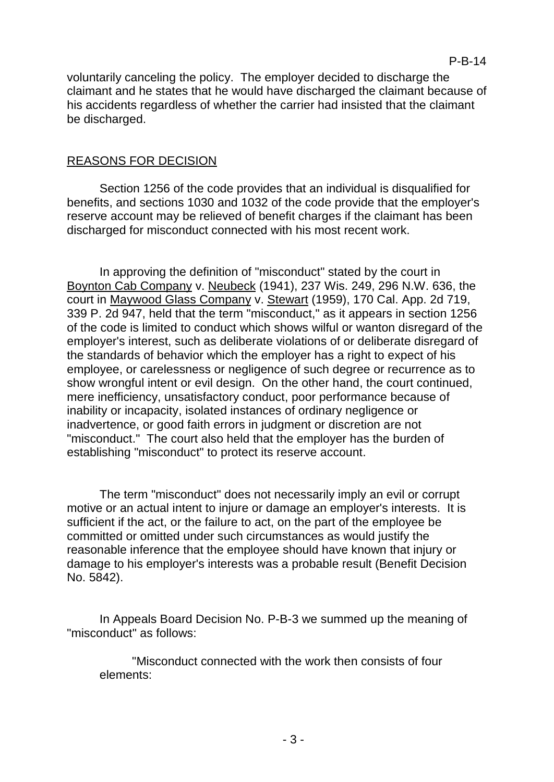voluntarily canceling the policy. The employer decided to discharge the claimant and he states that he would have discharged the claimant because of his accidents regardless of whether the carrier had insisted that the claimant be discharged.

### REASONS FOR DECISION

Section 1256 of the code provides that an individual is disqualified for benefits, and sections 1030 and 1032 of the code provide that the employer's reserve account may be relieved of benefit charges if the claimant has been discharged for misconduct connected with his most recent work.

In approving the definition of "misconduct" stated by the court in Boynton Cab Company v. Neubeck (1941), 237 Wis. 249, 296 N.W. 636, the court in Maywood Glass Company v. Stewart (1959), 170 Cal. App. 2d 719, 339 P. 2d 947, held that the term "misconduct," as it appears in section 1256 of the code is limited to conduct which shows wilful or wanton disregard of the employer's interest, such as deliberate violations of or deliberate disregard of the standards of behavior which the employer has a right to expect of his employee, or carelessness or negligence of such degree or recurrence as to show wrongful intent or evil design. On the other hand, the court continued, mere inefficiency, unsatisfactory conduct, poor performance because of inability or incapacity, isolated instances of ordinary negligence or inadvertence, or good faith errors in judgment or discretion are not "misconduct." The court also held that the employer has the burden of establishing "misconduct" to protect its reserve account.

The term "misconduct" does not necessarily imply an evil or corrupt motive or an actual intent to injure or damage an employer's interests. It is sufficient if the act, or the failure to act, on the part of the employee be committed or omitted under such circumstances as would justify the reasonable inference that the employee should have known that injury or damage to his employer's interests was a probable result (Benefit Decision No. 5842).

In Appeals Board Decision No. P-B-3 we summed up the meaning of "misconduct" as follows:

"Misconduct connected with the work then consists of four elements: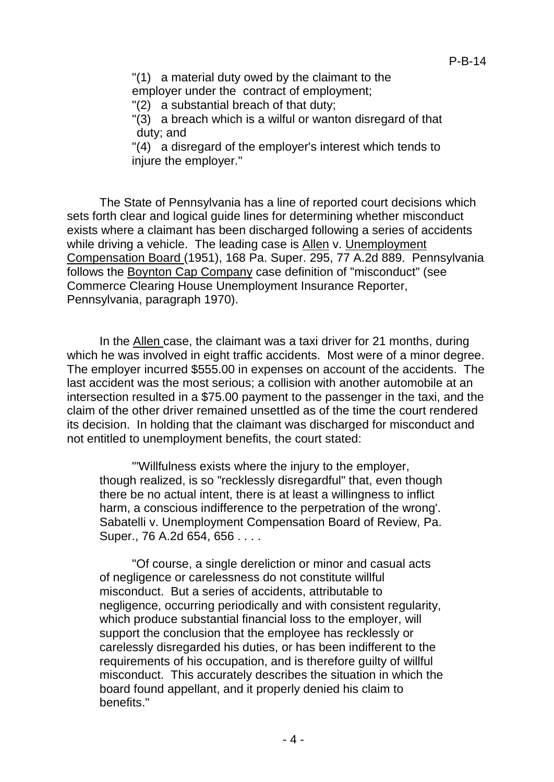"(1) a material duty owed by the claimant to the employer under the contract of employment;

"(2) a substantial breach of that duty;

"(3) a breach which is a wilful or wanton disregard of that duty; and

"(4) a disregard of the employer's interest which tends to iniure the employer."

The State of Pennsylvania has a line of reported court decisions which sets forth clear and logical guide lines for determining whether misconduct exists where a claimant has been discharged following a series of accidents while driving a vehicle. The leading case is Allen v. Unemployment Compensation Board (1951), 168 Pa. Super. 295, 77 A.2d 889. Pennsylvania follows the Boynton Cap Company case definition of "misconduct" (see Commerce Clearing House Unemployment Insurance Reporter, Pennsylvania, paragraph 1970).

In the Allen case, the claimant was a taxi driver for 21 months, during which he was involved in eight traffic accidents. Most were of a minor degree. The employer incurred \$555.00 in expenses on account of the accidents. The last accident was the most serious; a collision with another automobile at an intersection resulted in a \$75.00 payment to the passenger in the taxi, and the claim of the other driver remained unsettled as of the time the court rendered its decision. In holding that the claimant was discharged for misconduct and not entitled to unemployment benefits, the court stated:

"'Willfulness exists where the injury to the employer, though realized, is so "recklessly disregardful" that, even though there be no actual intent, there is at least a willingness to inflict harm, a conscious indifference to the perpetration of the wrong'. Sabatelli v. Unemployment Compensation Board of Review, Pa. Super., 76 A.2d 654, 656 . . . .

"Of course, a single dereliction or minor and casual acts of negligence or carelessness do not constitute willful misconduct. But a series of accidents, attributable to negligence, occurring periodically and with consistent regularity, which produce substantial financial loss to the employer, will support the conclusion that the employee has recklessly or carelessly disregarded his duties, or has been indifferent to the requirements of his occupation, and is therefore guilty of willful misconduct. This accurately describes the situation in which the board found appellant, and it properly denied his claim to benefits."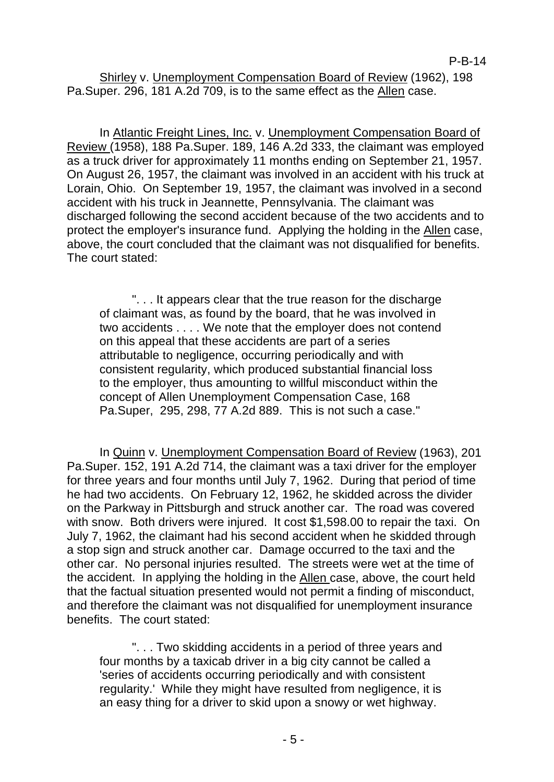Shirley v. Unemployment Compensation Board of Review (1962), 198 Pa.Super. 296, 181 A.2d 709, is to the same effect as the Allen case.

In Atlantic Freight Lines, Inc. v. Unemployment Compensation Board of Review (1958), 188 Pa.Super. 189, 146 A.2d 333, the claimant was employed as a truck driver for approximately 11 months ending on September 21, 1957. On August 26, 1957, the claimant was involved in an accident with his truck at Lorain, Ohio. On September 19, 1957, the claimant was involved in a second accident with his truck in Jeannette, Pennsylvania. The claimant was discharged following the second accident because of the two accidents and to protect the employer's insurance fund. Applying the holding in the Allen case, above, the court concluded that the claimant was not disqualified for benefits. The court stated:

". . . It appears clear that the true reason for the discharge of claimant was, as found by the board, that he was involved in two accidents . . . . We note that the employer does not contend on this appeal that these accidents are part of a series attributable to negligence, occurring periodically and with consistent regularity, which produced substantial financial loss to the employer, thus amounting to willful misconduct within the concept of Allen Unemployment Compensation Case, 168 Pa.Super, 295, 298, 77 A.2d 889. This is not such a case."

In Quinn v. Unemployment Compensation Board of Review (1963), 201 Pa.Super. 152, 191 A.2d 714, the claimant was a taxi driver for the employer for three years and four months until July 7, 1962. During that period of time he had two accidents. On February 12, 1962, he skidded across the divider on the Parkway in Pittsburgh and struck another car. The road was covered with snow. Both drivers were injured. It cost \$1,598.00 to repair the taxi. On July 7, 1962, the claimant had his second accident when he skidded through a stop sign and struck another car. Damage occurred to the taxi and the other car. No personal injuries resulted. The streets were wet at the time of the accident. In applying the holding in the Allen case, above, the court held that the factual situation presented would not permit a finding of misconduct, and therefore the claimant was not disqualified for unemployment insurance benefits. The court stated:

". . . Two skidding accidents in a period of three years and four months by a taxicab driver in a big city cannot be called a 'series of accidents occurring periodically and with consistent regularity.' While they might have resulted from negligence, it is an easy thing for a driver to skid upon a snowy or wet highway.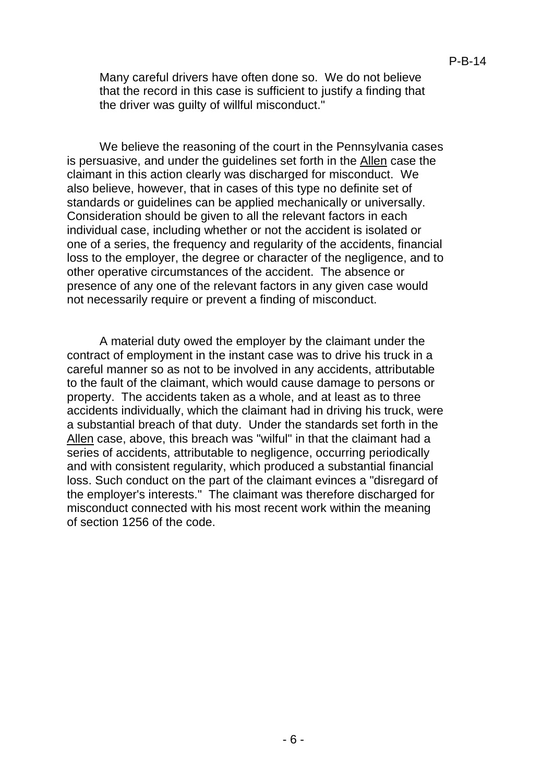Many careful drivers have often done so. We do not believe that the record in this case is sufficient to justify a finding that the driver was guilty of willful misconduct."

We believe the reasoning of the court in the Pennsylvania cases is persuasive, and under the guidelines set forth in the Allen case the claimant in this action clearly was discharged for misconduct. We also believe, however, that in cases of this type no definite set of standards or guidelines can be applied mechanically or universally. Consideration should be given to all the relevant factors in each individual case, including whether or not the accident is isolated or one of a series, the frequency and regularity of the accidents, financial loss to the employer, the degree or character of the negligence, and to other operative circumstances of the accident. The absence or presence of any one of the relevant factors in any given case would not necessarily require or prevent a finding of misconduct.

A material duty owed the employer by the claimant under the contract of employment in the instant case was to drive his truck in a careful manner so as not to be involved in any accidents, attributable to the fault of the claimant, which would cause damage to persons or property. The accidents taken as a whole, and at least as to three accidents individually, which the claimant had in driving his truck, were a substantial breach of that duty. Under the standards set forth in the Allen case, above, this breach was "wilful" in that the claimant had a series of accidents, attributable to negligence, occurring periodically and with consistent regularity, which produced a substantial financial loss. Such conduct on the part of the claimant evinces a "disregard of the employer's interests." The claimant was therefore discharged for misconduct connected with his most recent work within the meaning of section 1256 of the code.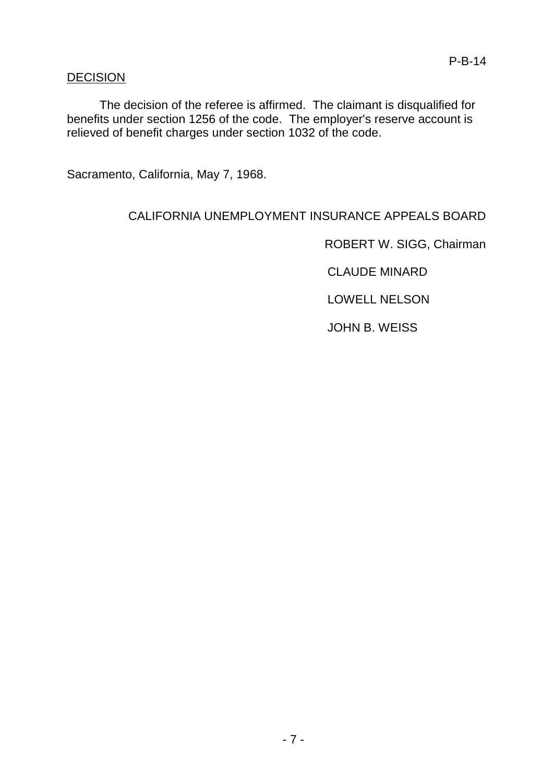# DECISION

The decision of the referee is affirmed. The claimant is disqualified for benefits under section 1256 of the code. The employer's reserve account is relieved of benefit charges under section 1032 of the code.

Sacramento, California, May 7, 1968.

# CALIFORNIA UNEMPLOYMENT INSURANCE APPEALS BOARD

ROBERT W. SIGG, Chairman

CLAUDE MINARD

LOWELL NELSON

JOHN B. WEISS